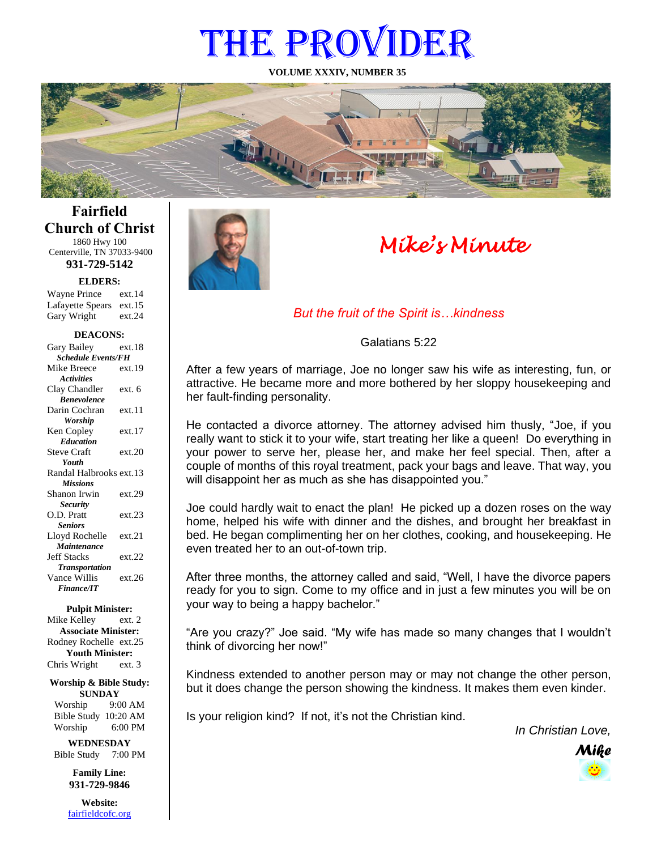# THE PROVIDER

**VOLUME XXXIV, NUMBER 35**



# **Fairfield Church of Christ** 1860 Hwy 100

Centerville, TN 37033-9400 **931-729-5142**

**ELDERS:**

Gary Wright ext.24 Wayne Prince ext.14 Lafayette Spears ext.15

#### **DEACONS:**

| Gary Bailey               | ext.18 |  |
|---------------------------|--------|--|
| <b>Schedule Events/FH</b> |        |  |
| Mike Breece               | ext.19 |  |
| <b>Activities</b>         |        |  |
| Clay Chandler             | ext. 6 |  |
| <b>Benevolence</b>        |        |  |
| Darin Cochran             | ext.11 |  |
| <b>Worship</b>            |        |  |
| Ken Copley                | ext.17 |  |
| <b>Education</b>          |        |  |
| <b>Steve Craft</b>        | ext.20 |  |
| Youth                     |        |  |
| Randal Halbrooks ext.13   |        |  |
| <b>Missions</b>           |        |  |
| Shanon Irwin              | ext.29 |  |
| <b>Security</b>           |        |  |
| O.D. Pratt                | ext.23 |  |
| <b>Seniors</b>            |        |  |
| Lloyd Rochelle            | ext.21 |  |
| Maintenance               |        |  |
| <b>Jeff Stacks</b>        | ext.22 |  |
| <b>Transportation</b>     |        |  |
| Vance Willis              | ext.26 |  |
| <b>Finance/IT</b>         |        |  |

**Pulpit Minister:**

Mike Kelley ext. 2 **Associate Minister:** Rodney Rochelle ext.25 **Youth Minister:** Chris Wright ext. 3

**Worship & Bible Study: SUNDAY** Worship 9:00 AM

Bible Study 10:20 AM Worship 6:00 PM

**WEDNESDAY** Bible Study 7:00 PM

> **Family Line: 931-729-9846**

**Website:** [fairfieldcofc.org](file:///C:/Users/RickJoyce/Documents/Fairfield%20Website%20Files/fairfieldchurchofchrist.org)



# *Mike's Minute*

## *But the fruit of the Spirit is…kindness*

Galatians 5:22

After a few years of marriage, Joe no longer saw his wife as interesting, fun, or attractive. He became more and more bothered by her sloppy housekeeping and her fault-finding personality.

He contacted a divorce attorney. The attorney advised him thusly, "Joe, if you really want to stick it to your wife, start treating her like a queen! Do everything in your power to serve her, please her, and make her feel special. Then, after a couple of months of this royal treatment, pack your bags and leave. That way, you will disappoint her as much as she has disappointed you."

Joe could hardly wait to enact the plan! He picked up a dozen roses on the way home, helped his wife with dinner and the dishes, and brought her breakfast in bed. He began complimenting her on her clothes, cooking, and housekeeping. He even treated her to an out-of-town trip.

After three months, the attorney called and said, "Well, I have the divorce papers ready for you to sign. Come to my office and in just a few minutes you will be on your way to being a happy bachelor."

"Are you crazy?" Joe said. "My wife has made so many changes that I wouldn't think of divorcing her now!"

Kindness extended to another person may or may not change the other person, but it does change the person showing the kindness. It makes them even kinder.

Is your religion kind? If not, it's not the Christian kind.

*In Christian Love,*

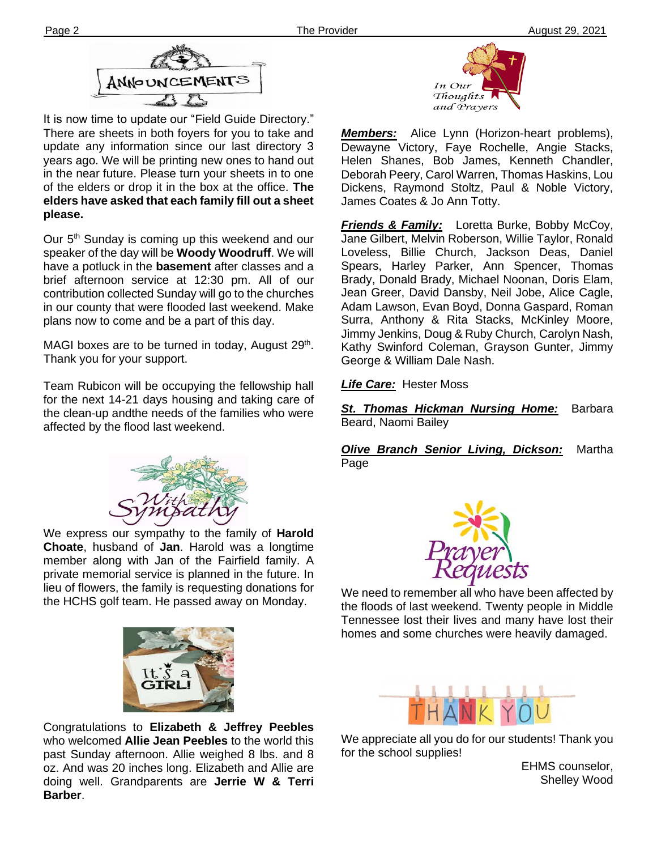

**Ther please.** It is now time to update our "Field Guide Directory." There are sheets in both foyers for you to take and update any information since our last directory 3 years ago. We will be printing new ones to hand out in the near future. Please turn your sheets in to one of the elders or drop it in the box at the office. **The elders have asked that each family fill out a sheet**

Our 5<sup>th</sup> Sunday is coming up this weekend and our speaker of the day will be **Woody Woodruff**. We will have a potluck in the **basement** after classes and a brief afternoon service at 12:30 pm. All of our contribution collected Sunday will go to the churches in our county that were flooded last weekend. Make plans now to come and be a part of this day.

MAGI boxes are to be turned in today, August 29<sup>th</sup>. Thank you for your support.

Team Rubicon will be occupying the fellowship hall for the next 14-21 days housing and taking care of the clean-up andthe needs of the families who were affected by the flood last weekend.



We express our sympathy to the family of **Harold Choate**, husband of **Jan**. Harold was a longtime member along with Jan of the Fairfield family. A private memorial service is planned in the future. In lieu of flowers, the family is requesting donations for the HCHS golf team. He passed away on Monday.



Congratulations to **Elizabeth & Jeffrey Peebles** who welcomed **Allie Jean Peebles** to the world this past Sunday afternoon. Allie weighed 8 lbs. and 8 oz. And was 20 inches long. Elizabeth and Allie are doing well. Grandparents are **Jerrie W & Terri Barber**.



*Members:* Alice Lynn (Horizon-heart problems), Dewayne Victory, Faye Rochelle, Angie Stacks, Helen Shanes, Bob James, Kenneth Chandler, Deborah Peery, Carol Warren, Thomas Haskins, Lou Dickens, Raymond Stoltz, Paul & Noble Victory, James Coates & Jo Ann Totty.

*Friends & Family:* Loretta Burke, Bobby McCoy, Jane Gilbert, Melvin Roberson, Willie Taylor, Ronald Loveless, Billie Church, Jackson Deas, Daniel Spears, Harley Parker, Ann Spencer, Thomas Brady, Donald Brady, Michael Noonan, Doris Elam, Jean Greer, David Dansby, Neil Jobe, Alice Cagle, Adam Lawson, Evan Boyd, Donna Gaspard, Roman Surra, Anthony & Rita Stacks, McKinley Moore, Jimmy Jenkins, Doug & Ruby Church, Carolyn Nash, Kathy Swinford Coleman, Grayson Gunter, Jimmy George & William Dale Nash.

*Life Care:* Hester Moss

*St. Thomas Hickman Nursing Home:* Barbara Beard, Naomi Bailey

*Olive Branch Senior Living, Dickson:* Martha Page



We need to remember all who have been affected by the floods of last weekend. Twenty people in Middle Tennessee lost their lives and many have lost their homes and some churches were heavily damaged.



We appreciate all you do for our students! Thank you for the school supplies!

EHMS counselor, Shelley Wood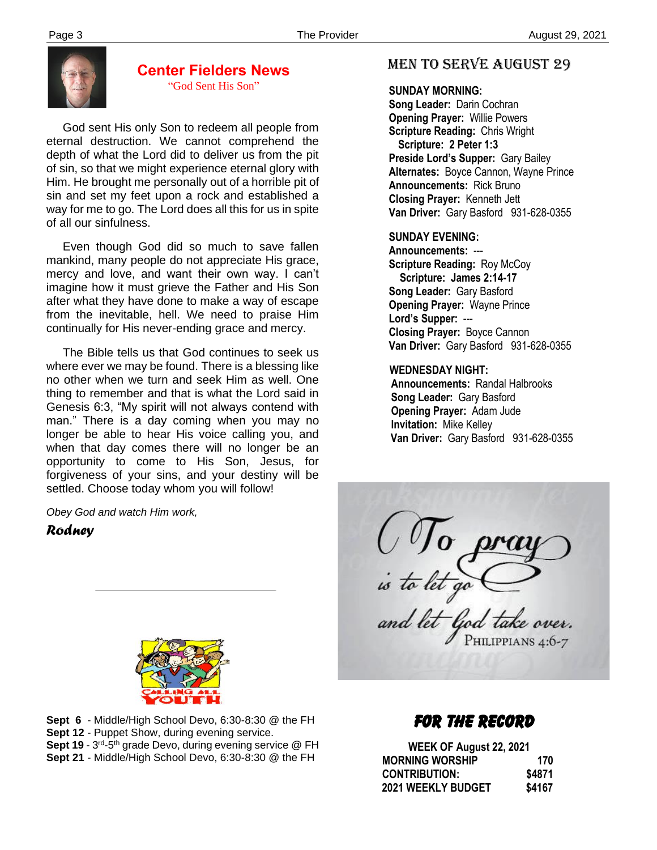

#### **Center Fielders News** "God Sent His Son"

 God sent His only Son to redeem all people from eternal destruction. We cannot comprehend the depth of what the Lord did to deliver us from the pit of sin, so that we might experience eternal glory with Him. He brought me personally out of a horrible pit of sin and set my feet upon a rock and established a way for me to go. The Lord does all this for us in spite of all our sinfulness.

 Even though God did so much to save fallen mankind, many people do not appreciate His grace, mercy and love, and want their own way. I can't imagine how it must grieve the Father and His Son after what they have done to make a way of escape from the inevitable, hell. We need to praise Him continually for His never-ending grace and mercy.

 The Bible tells us that God continues to seek us where ever we may be found. There is a blessing like no other when we turn and seek Him as well. One thing to remember and that is what the Lord said in Genesis 6:3, "My spirit will not always contend with man." There is a day coming when you may no longer be able to hear His voice calling you, and when that day comes there will no longer be an opportunity to come to His Son, Jesus, for forgiveness of your sins, and your destiny will be settled. Choose today whom you will follow!

*Obey God and watch Him work,*

### *Rodney*



 **Sept 21** - Middle/High School Devo, 6:30-8:30 @ the FH **Sept 6** - Middle/High School Devo, 6:30-8:30 @ the FH **Sept 12** - Puppet Show, during evening service. Sept 19 - 3<sup>rd</sup>-5<sup>th</sup> grade Devo, during evening service @ FH

# MEN TO SERVE august 29

 **SUNDAY MORNING:**

**Song Leader:** Darin Cochran  **Opening Prayer:** Willie Powers **Scripture Reading:** Chris Wright  **Scripture: 2 Peter 1:3 Preside Lord's Supper:** Gary Bailey  **Alternates:** Boyce Cannon, Wayne Prince  **Announcements:** Rick Bruno  **Closing Prayer:** Kenneth Jett **Van Driver:** Gary Basford 931-628-0355

#### **SUNDAY EVENING:**

**Announcements:** --- **Scripture Reading: Roy McCoy Scripture: James 2:14-17 Song Leader:** Gary Basford **Opening Prayer:** Wayne Prince **Lord's Supper:** --- **Closing Prayer:** Boyce Cannon **Van Driver:** Gary Basford 931-628-0355

#### **WEDNESDAY NIGHT:**

**Announcements:** Randal Halbrooks **Song Leader:** Gary Basford **Opening Prayer:** Adam Jude **Invitation:** Mike Kelley  **Van Driver:** Gary Basford 931-628-0355

 $\bigcup_{i \in \mathcal{I}} \bigcup_{f \in \mathcal{I}} \bigcup_{g \in \mathcal{I}} \bigcup_{g \in \mathcal{I}} \bigcup_{f \in \mathcal{I}} \bigcap_{g \in \mathcal{I}} \bigcap_{g \in \mathcal{I}} \bigcap_{g \in \mathcal{I}} \mathcal{I}$  and let  $f \in \mathcal{I}$  take over. PHILIPPIANS 4:6-7

# FOR THE RECORD

| WEEK OF August 22, 2021 |        |
|-------------------------|--------|
| <b>MORNING WORSHIP</b>  | 170    |
| <b>CONTRIBUTION:</b>    | \$4871 |
| 2021 WEEKLY BUDGET      | \$4167 |